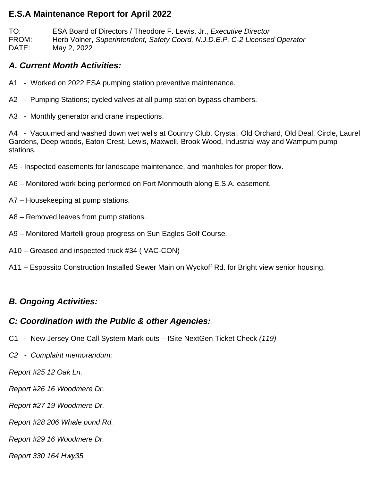#### **E.S.A Maintenance Report for April 2022**

TO: ESA Board of Directors / Theodore F. Lewis, Jr., *Executive Director* FROM: Herb Volner, *Superintendent, Safety Coord, N.J.D.E.P. C-2 Licensed Operator* DATE: May 2, 2022

## *A. Current Month Activities:*

- A1 Worked on 2022 ESA pumping station preventive maintenance.
- A2 Pumping Stations; cycled valves at all pump station bypass chambers.
- A3 Monthly generator and crane inspections.

A4 - Vacuumed and washed down wet wells at Country Club, Crystal, Old Orchard, Old Deal, Circle, Laurel Gardens, Deep woods, Eaton Crest, Lewis, Maxwell, Brook Wood, Industrial way and Wampum pump stations.

- A5 Inspected easements for landscape maintenance, and manholes for proper flow.
- A6 Monitored work being performed on Fort Monmouth along E.S.A. easement.
- A7 Housekeeping at pump stations.
- A8 Removed leaves from pump stations.
- A9 Monitored Martelli group progress on Sun Eagles Golf Course.
- A10 Greased and inspected truck #34 ( VAC-CON)
- A11 Espossito Construction Installed Sewer Main on Wyckoff Rd. for Bright view senior housing.

# *B. Ongoing Activities:*

### *C: Coordination with the Public & other Agencies:*

- C1 New Jersey One Call System Mark outs ISite NextGen Ticket Check *(119)*
- *C2 Complaint memorandum:*

*Report #25 12 Oak Ln.*

- *Report #26 16 Woodmere Dr.*
- *Report #27 19 Woodmere Dr.*

*Report #28 206 Whale pond Rd.*

*Report #29 16 Woodmere Dr.*

*Report 330 164 Hwy35*